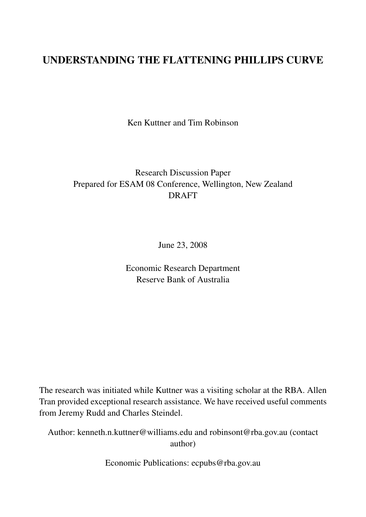## UNDERSTANDING THE FLATTENING PHILLIPS CURVE

Ken Kuttner and Tim Robinson

## Research Discussion Paper Prepared for ESAM 08 Conference, Wellington, New Zealand DRAFT

June 23, 2008

Economic Research Department Reserve Bank of Australia

The research was initiated while Kuttner was a visiting scholar at the RBA. Allen Tran provided exceptional research assistance. We have received useful comments from Jeremy Rudd and Charles Steindel.

Author: kenneth.n.kuttner@williams.edu and robinsont@rba.gov.au (contact author)

Economic Publications: ecpubs@rba.gov.au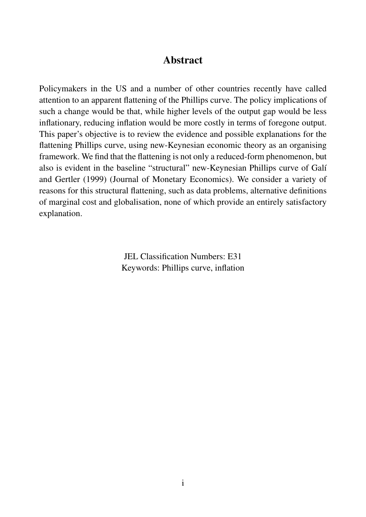### Abstract

Policymakers in the US and a number of other countries recently have called attention to an apparent flattening of the Phillips curve. The policy implications of such a change would be that, while higher levels of the output gap would be less inflationary, reducing inflation would be more costly in terms of foregone output. This paper's objective is to review the evidence and possible explanations for the flattening Phillips curve, using new-Keynesian economic theory as an organising framework. We find that the flattening is not only a reduced-form phenomenon, but also is evident in the baseline "structural" new-Keynesian Phillips curve of Galí and Gertler (1999) (Journal of Monetary Economics). We consider a variety of reasons for this structural flattening, such as data problems, alternative definitions of marginal cost and globalisation, none of which provide an entirely satisfactory explanation.

> JEL Classification Numbers: E31 Keywords: Phillips curve, inflation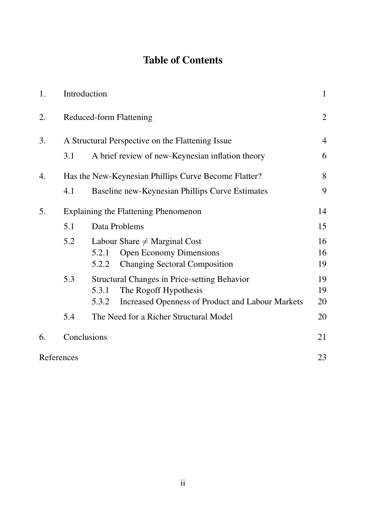# Table of Contents

| 1. |                                                      | Introduction                                                                                                                                              |                |  |
|----|------------------------------------------------------|-----------------------------------------------------------------------------------------------------------------------------------------------------------|----------------|--|
| 2. |                                                      | <b>Reduced-form Flattening</b>                                                                                                                            |                |  |
| 3. | A Structural Perspective on the Flattening Issue     |                                                                                                                                                           |                |  |
|    | 3.1                                                  | A brief review of new-Keynesian inflation theory                                                                                                          |                |  |
| 4. | Has the New-Keynesian Phillips Curve Become Flatter? |                                                                                                                                                           |                |  |
|    | 4.1                                                  | Baseline new-Keynesian Phillips Curve Estimates                                                                                                           | 9              |  |
| 5. | Explaining the Flattening Phenomenon                 |                                                                                                                                                           |                |  |
|    | 5.1                                                  | Data Problems                                                                                                                                             | 15             |  |
|    | 5.2                                                  | Labour Share $\neq$ Marginal Cost<br><b>Open Economy Dimensions</b><br>5.2.1<br><b>Changing Sectoral Composition</b><br>5.2.2                             | 16<br>16<br>19 |  |
|    | 5.3                                                  | <b>Structural Changes in Price-setting Behavior</b><br>The Rogoff Hypothesis<br>5.3.1<br><b>Increased Openness of Product and Labour Markets</b><br>5.3.2 | 19<br>19<br>20 |  |
|    | 5.4                                                  | The Need for a Richer Structural Model                                                                                                                    | 20             |  |
| 6. |                                                      | Conclusions                                                                                                                                               | 21             |  |
|    | References                                           |                                                                                                                                                           | 23             |  |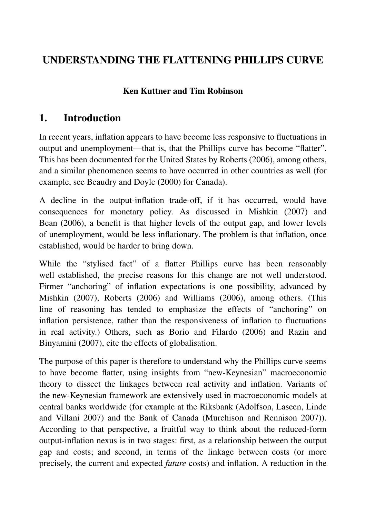# UNDERSTANDING THE FLATTENING PHILLIPS CURVE

### Ken Kuttner and Tim Robinson

## 1. Introduction

In recent years, inflation appears to have become less responsive to fluctuations in output and unemployment—that is, that the Phillips curve has become "flatter". This has been documented for the United States by Roberts (2006), among others, and a similar phenomenon seems to have occurred in other countries as well (for example, see Beaudry and Doyle (2000) for Canada).

A decline in the output-inflation trade-off, if it has occurred, would have consequences for monetary policy. As discussed in Mishkin (2007) and Bean (2006), a benefit is that higher levels of the output gap, and lower levels of unemployment, would be less inflationary. The problem is that inflation, once established, would be harder to bring down.

While the "stylised fact" of a flatter Phillips curve has been reasonably well established, the precise reasons for this change are not well understood. Firmer "anchoring" of inflation expectations is one possibility, advanced by Mishkin (2007), Roberts (2006) and Williams (2006), among others. (This line of reasoning has tended to emphasize the effects of "anchoring" on inflation persistence, rather than the responsiveness of inflation to fluctuations in real activity.) Others, such as Borio and Filardo (2006) and Razin and Binyamini (2007), cite the effects of globalisation.

The purpose of this paper is therefore to understand why the Phillips curve seems to have become flatter, using insights from "new-Keynesian" macroeconomic theory to dissect the linkages between real activity and inflation. Variants of the new-Keynesian framework are extensively used in macroeconomic models at central banks worldwide (for example at the Riksbank (Adolfson, Laseen, Linde and Villani 2007) and the Bank of Canada (Murchison and Rennison 2007)). According to that perspective, a fruitful way to think about the reduced-form output-inflation nexus is in two stages: first, as a relationship between the output gap and costs; and second, in terms of the linkage between costs (or more precisely, the current and expected *future* costs) and inflation. A reduction in the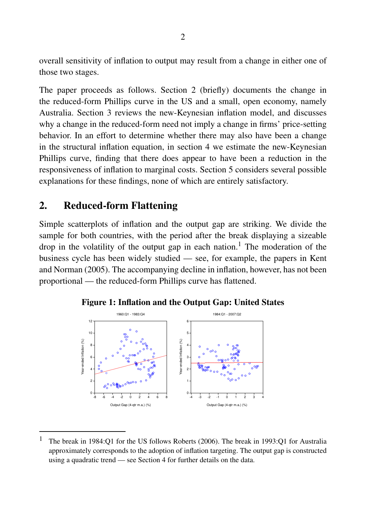overall sensitivity of inflation to output may result from a change in either one of those two stages.

The paper proceeds as follows. Section 2 (briefly) documents the change in the reduced-form Phillips curve in the US and a small, open economy, namely Australia. Section 3 reviews the new-Keynesian inflation model, and discusses why a change in the reduced-form need not imply a change in firms' price-setting behavior. In an effort to determine whether there may also have been a change in the structural inflation equation, in section 4 we estimate the new-Keynesian Phillips curve, finding that there does appear to have been a reduction in the responsiveness of inflation to marginal costs. Section 5 considers several possible explanations for these findings, none of which are entirely satisfactory.

## 2. Reduced-form Flattening

Simple scatterplots of inflation and the output gap are striking. We divide the sample for both countries, with the period after the break displaying a sizeable drop in the volatility of the output gap in each nation.<sup>1</sup> The moderation of the business cycle has been widely studied — see, for example, the papers in Kent and Norman (2005). The accompanying decline in inflation, however, has not been proportional — the reduced-form Phillips curve has flattened.



Figure 1: Inflation and the Output Gap: United States

<sup>1</sup> The break in 1984:Q1 for the US follows Roberts (2006). The break in 1993:Q1 for Australia approximately corresponds to the adoption of inflation targeting. The output gap is constructed using a quadratic trend — see Section 4 for further details on the data.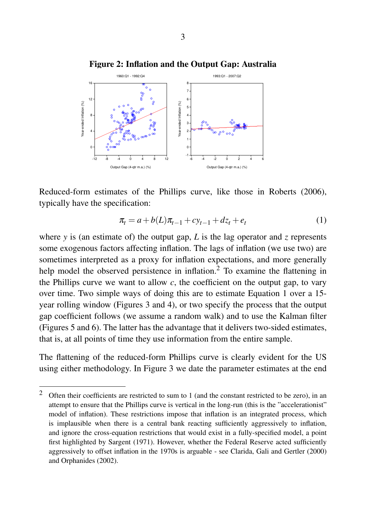



Reduced-form estimates of the Phillips curve, like those in Roberts (2006), typically have the specification:

$$
\pi_t = a + b(L)\pi_{t-1} + c\chi_{t-1} + dz_t + e_t \tag{1}
$$

where *y* is (an estimate of) the output gap, *L* is the lag operator and *z* represents some exogenous factors affecting inflation. The lags of inflation (we use two) are sometimes interpreted as a proxy for inflation expectations, and more generally help model the observed persistence in inflation.<sup>2</sup> To examine the flattening in the Phillips curve we want to allow  $c$ , the coefficient on the output gap, to vary over time. Two simple ways of doing this are to estimate Equation 1 over a 15 year rolling window (Figures 3 and 4), or two specify the process that the output gap coefficient follows (we assume a random walk) and to use the Kalman filter (Figures 5 and 6). The latter has the advantage that it delivers two-sided estimates, that is, at all points of time they use information from the entire sample.

The flattening of the reduced-form Phillips curve is clearly evident for the US using either methodology. In Figure 3 we date the parameter estimates at the end

<sup>&</sup>lt;sup>2</sup> Often their coefficients are restricted to sum to 1 (and the constant restricted to be zero), in an attempt to ensure that the Phillips curve is vertical in the long-run (this is the "accelerationist" model of inflation). These restrictions impose that inflation is an integrated process, which is implausible when there is a central bank reacting sufficiently aggressively to inflation, and ignore the cross-equation restrictions that would exist in a fully-specified model, a point first highlighted by Sargent (1971). However, whether the Federal Reserve acted sufficiently aggressively to offset inflation in the 1970s is arguable - see Clarida, Gali and Gertler (2000) and Orphanides (2002).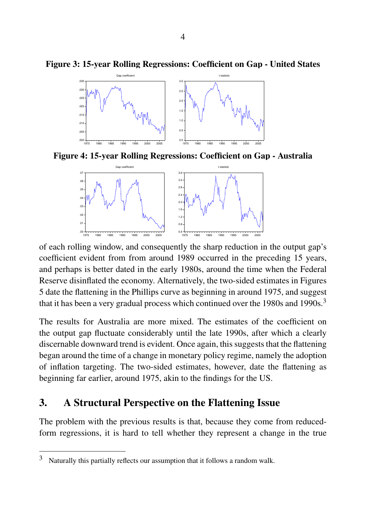

Figure 3: 15-year Rolling Regressions: Coefficient on Gap - United States

Figure 4: 15-year Rolling Regressions: Coefficient on Gap - Australia



of each rolling window, and consequently the sharp reduction in the output gap's coefficient evident from from around 1989 occurred in the preceding 15 years, and perhaps is better dated in the early 1980s, around the time when the Federal Reserve disinflated the economy. Alternatively, the two-sided estimates in Figures 5 date the flattening in the Phillips curve as beginning in around 1975, and suggest that it has been a very gradual process which continued over the 1980s and 1990s.<sup>3</sup>

The results for Australia are more mixed. The estimates of the coefficient on the output gap fluctuate considerably until the late 1990s, after which a clearly discernable downward trend is evident. Once again, this suggests that the flattening began around the time of a change in monetary policy regime, namely the adoption of inflation targeting. The two-sided estimates, however, date the flattening as beginning far earlier, around 1975, akin to the findings for the US.

## 3. A Structural Perspective on the Flattening Issue

The problem with the previous results is that, because they come from reducedform regressions, it is hard to tell whether they represent a change in the true

 $3$  Naturally this partially reflects our assumption that it follows a random walk.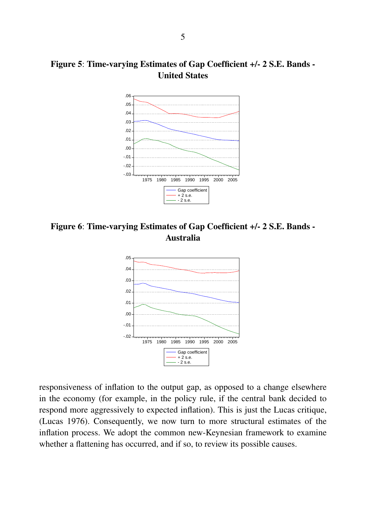## Figure 5: Time-varying Estimates of Gap Coefficient +/- 2 S.E. Bands - United States



Figure 6: Time-varying Estimates of Gap Coefficient +/- 2 S.E. Bands - Australia



responsiveness of inflation to the output gap, as opposed to a change elsewhere in the economy (for example, in the policy rule, if the central bank decided to respond more aggressively to expected inflation). This is just the Lucas critique, (Lucas 1976). Consequently, we now turn to more structural estimates of the inflation process. We adopt the common new-Keynesian framework to examine whether a flattening has occurred, and if so, to review its possible causes.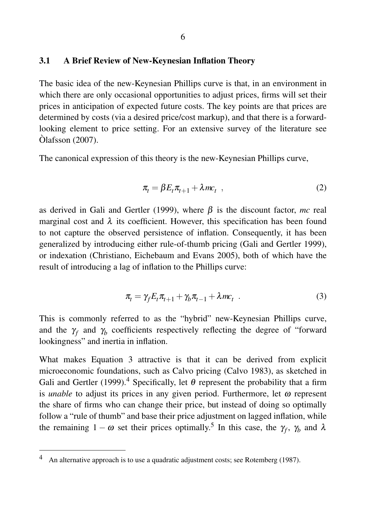#### 3.1 A Brief Review of New-Keynesian Inflation Theory

The basic idea of the new-Keynesian Phillips curve is that, in an environment in which there are only occasional opportunities to adjust prices, firms will set their prices in anticipation of expected future costs. The key points are that prices are determined by costs (via a desired price/cost markup), and that there is a forwardlooking element to price setting. For an extensive survey of the literature see  $\hat{O}$ lafsson (2007).

The canonical expression of this theory is the new-Keynesian Phillips curve,

$$
\pi_t = \beta E_t \pi_{t+1} + \lambda m c_t \quad , \tag{2}
$$

as derived in Gali and Gertler (1999), where  $\beta$  is the discount factor, *mc* real marginal cost and  $\lambda$  its coefficient. However, this specification has been found to not capture the observed persistence of inflation. Consequently, it has been generalized by introducing either rule-of-thumb pricing (Gali and Gertler 1999), or indexation (Christiano, Eichebaum and Evans 2005), both of which have the result of introducing a lag of inflation to the Phillips curve:

$$
\pi_t = \gamma_f E_t \pi_{t+1} + \gamma_b \pi_{t-1} + \lambda m c_t \quad . \tag{3}
$$

This is commonly referred to as the "hybrid" new-Keynesian Phillips curve, and the  $\gamma_f$  and  $\gamma_b$  coefficients respectively reflecting the degree of "forward" lookingness" and inertia in inflation.

What makes Equation 3 attractive is that it can be derived from explicit microeconomic foundations, such as Calvo pricing (Calvo 1983), as sketched in Gali and Gertler (1999).<sup>4</sup> Specifically, let  $\theta$  represent the probability that a firm is *unable* to adjust its prices in any given period. Furthermore, let  $\omega$  represent the share of firms who can change their price, but instead of doing so optimally follow a "rule of thumb" and base their price adjustment on lagged inflation, while the remaining  $1 - \omega$  set their prices optimally.<sup>5</sup> In this case, the  $\gamma_f$ ,  $\gamma_b$  and  $\lambda$ 

An alternative approach is to use a quadratic adjustment costs; see Rotemberg (1987).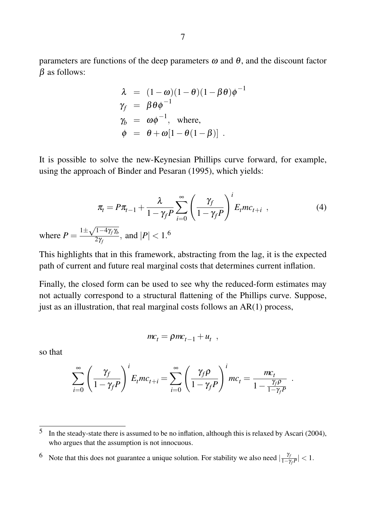parameters are functions of the deep parameters  $\omega$  and  $\theta$ , and the discount factor  $\beta$  as follows:

$$
\lambda = (1 - \omega)(1 - \theta)(1 - \beta \theta)\phi^{-1}
$$
  
\n
$$
\gamma_f = \beta \theta \phi^{-1}
$$
  
\n
$$
\gamma_b = \omega \phi^{-1}, \text{ where,}
$$
  
\n
$$
\phi = \theta + \omega[1 - \theta(1 - \beta)].
$$

It is possible to solve the new-Keynesian Phillips curve forward, for example, using the approach of Binder and Pesaran (1995), which yields:

$$
\pi_t = P\pi_{t-1} + \frac{\lambda}{1 - \gamma_f P} \sum_{i=0}^{\infty} \left(\frac{\gamma_f}{1 - \gamma_f P}\right)^i E_t mc_{t+i} ,
$$
\nwhere  $P = \frac{1 \pm \sqrt{1 - 4\gamma_f \gamma_b}}{2\gamma_f}$ , and  $|P| < 1$ .

\n(4)

This highlights that in this framework, abstracting from the lag, it is the expected path of current and future real marginal costs that determines current inflation.

Finally, the closed form can be used to see why the reduced-form estimates may not actually correspond to a structural flattening of the Phillips curve. Suppose, just as an illustration, that real marginal costs follows an AR(1) process,

$$
mc_t = \rho mc_{t-1} + u_t ,
$$

so that

$$
\sum_{i=0}^{\infty} \left( \frac{\gamma_f}{1 - \gamma_f P} \right)^i E_t m c_{t+i} = \sum_{i=0}^{\infty} \left( \frac{\gamma_f \rho}{1 - \gamma_f P} \right)^i m c_t = \frac{m c_t}{1 - \frac{\gamma_f \rho}{1 - \gamma_f P}}
$$

.

<sup>6</sup> Note that this does not guarantee a unique solution. For stability we also need  $\frac{\gamma_j}{1-\gamma_j}$  $\frac{r_f}{1-\gamma_f P}| < 1.$ 

<sup>5</sup> In the steady-state there is assumed to be no inflation, although this is relaxed by Ascari (2004), who argues that the assumption is not innocuous.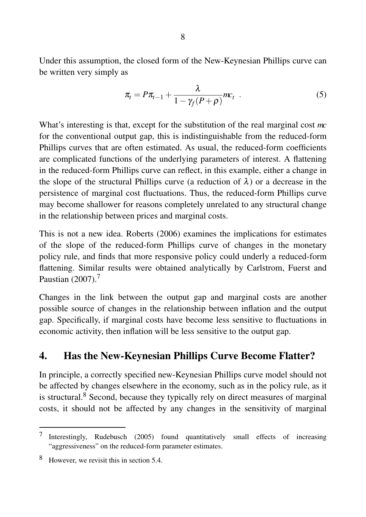Under this assumption, the closed form of the New-Keynesian Phillips curve can be written very simply as

$$
\pi_t = P\pi_{t-1} + \frac{\lambda}{1 - \gamma_f(P+\rho)}mc_t \quad . \tag{5}
$$

What's interesting is that, except for the substitution of the real marginal cost *mc* for the conventional output gap, this is indistinguishable from the reduced-form Phillips curves that are often estimated. As usual, the reduced-form coefficients are complicated functions of the underlying parameters of interest. A flattening in the reduced-form Phillips curve can reflect, in this example, either a change in the slope of the structural Phillips curve (a reduction of  $\lambda$ ) or a decrease in the persistence of marginal cost fluctuations. Thus, the reduced-form Phillips curve may become shallower for reasons completely unrelated to any structural change in the relationship between prices and marginal costs.

This is not a new idea. Roberts (2006) examines the implications for estimates of the slope of the reduced-form Phillips curve of changes in the monetary policy rule, and finds that more responsive policy could underly a reduced-form flattening. Similar results were obtained analytically by Carlstrom, Fuerst and Paustian (2007).<sup>7</sup>

Changes in the link between the output gap and marginal costs are another possible source of changes in the relationship between inflation and the output gap. Specifically, if marginal costs have become less sensitive to fluctuations in economic activity, then inflation will be less sensitive to the output gap.

## 4. Has the New-Keynesian Phillips Curve Become Flatter?

In principle, a correctly specified new-Keynesian Phillips curve model should not be affected by changes elsewhere in the economy, such as in the policy rule, as it is structural.<sup>8</sup> Second, because they typically rely on direct measures of marginal costs, it should not be affected by any changes in the sensitivity of marginal

<sup>7</sup> Interestingly, Rudebusch (2005) found quantitatively small effects of increasing "aggressiveness" on the reduced-form parameter estimates.

<sup>8</sup> However, we revisit this in section 5.4.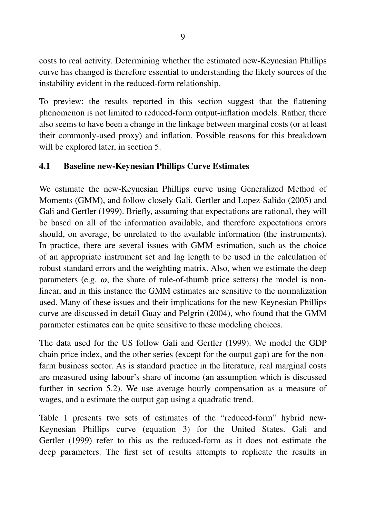costs to real activity. Determining whether the estimated new-Keynesian Phillips curve has changed is therefore essential to understanding the likely sources of the instability evident in the reduced-form relationship.

To preview: the results reported in this section suggest that the flattening phenomenon is not limited to reduced-form output-inflation models. Rather, there also seems to have been a change in the linkage between marginal costs (or at least their commonly-used proxy) and inflation. Possible reasons for this breakdown will be explored later, in section 5.

#### 4.1 Baseline new-Keynesian Phillips Curve Estimates

We estimate the new-Keynesian Phillips curve using Generalized Method of Moments (GMM), and follow closely Gali, Gertler and Lopez-Salido (2005) and Gali and Gertler (1999). Briefly, assuming that expectations are rational, they will be based on all of the information available, and therefore expectations errors should, on average, be unrelated to the available information (the instruments). In practice, there are several issues with GMM estimation, such as the choice of an appropriate instrument set and lag length to be used in the calculation of robust standard errors and the weighting matrix. Also, when we estimate the deep parameters (e.g.  $\omega$ , the share of rule-of-thumb price setters) the model is nonlinear, and in this instance the GMM estimates are sensitive to the normalization used. Many of these issues and their implications for the new-Keynesian Phillips curve are discussed in detail Guay and Pelgrin (2004), who found that the GMM parameter estimates can be quite sensitive to these modeling choices.

The data used for the US follow Gali and Gertler (1999). We model the GDP chain price index, and the other series (except for the output gap) are for the nonfarm business sector. As is standard practice in the literature, real marginal costs are measured using labour's share of income (an assumption which is discussed further in section 5.2). We use average hourly compensation as a measure of wages, and a estimate the output gap using a quadratic trend.

Table 1 presents two sets of estimates of the "reduced-form" hybrid new-Keynesian Phillips curve (equation 3) for the United States. Gali and Gertler (1999) refer to this as the reduced-form as it does not estimate the deep parameters. The first set of results attempts to replicate the results in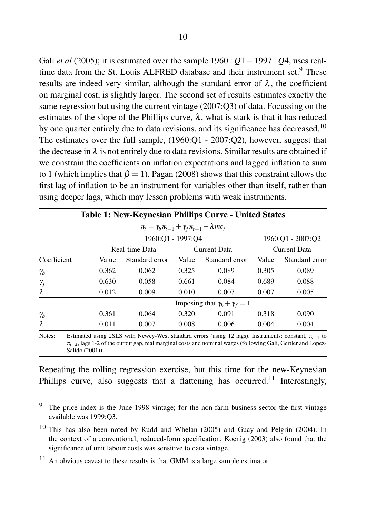Gali *et al* (2005); it is estimated over the sample 1960 : *Q*1−1997 : *Q*4, uses realtime data from the St. Louis ALFRED database and their instrument set.<sup>9</sup> These results are indeed very similar, although the standard error of  $\lambda$ , the coefficient on marginal cost, is slightly larger. The second set of results estimates exactly the same regression but using the current vintage (2007:Q3) of data. Focussing on the estimates of the slope of the Phillips curve,  $\lambda$ , what is stark is that it has reduced by one quarter entirely due to data revisions, and its significance has decreased.<sup>10</sup> The estimates over the full sample, (1960:Q1 - 2007:Q2), however, suggest that the decrease in  $\lambda$  is not entirely due to data revisions. Similar results are obtained if we constrain the coefficients on inflation expectations and lagged inflation to sum to 1 (which implies that  $\beta = 1$ ). Pagan (2008) shows that this constraint allows the first lag of inflation to be an instrument for variables other than itself, rather than using deeper lags, which may lessen problems with weak instruments.

|             |                                         |                                                                   |              | <b>Table 1: New-Keynesian Phillips Curve - United States</b> |              |                   |  |
|-------------|-----------------------------------------|-------------------------------------------------------------------|--------------|--------------------------------------------------------------|--------------|-------------------|--|
|             |                                         | $\pi_t = \gamma_b \pi_{t-1} + \gamma_f \pi_{t+1} + \lambda m c_t$ |              |                                                              |              |                   |  |
|             |                                         | 1960:Q1 - 1997:Q4                                                 |              |                                                              |              | 1960:Q1 - 2007:Q2 |  |
|             | Real-time Data                          |                                                                   | Current Data |                                                              | Current Data |                   |  |
| Coefficient | Value                                   | Standard error                                                    | Value        | Standard error                                               | Value        | Standard error    |  |
| $\gamma_b$  | 0.362                                   | 0.062                                                             | 0.325        | 0.089                                                        | 0.305        | 0.089             |  |
| $\gamma_f$  | 0.630                                   | 0.058                                                             | 0.661        | 0.084                                                        | 0.689        | 0.088             |  |
| $\lambda$   | 0.012                                   | 0.009                                                             | 0.010        | 0.007                                                        | 0.007        | 0.005             |  |
|             | Imposing that $\gamma_b + \gamma_f = 1$ |                                                                   |              |                                                              |              |                   |  |
| $\gamma_b$  | 0.361                                   | 0.064                                                             | 0.320        | 0.091                                                        | 0.318        | 0.090             |  |
| $\lambda$   | 0.011                                   | 0.007                                                             | 0.008        | 0.006                                                        | 0.004        | 0.004             |  |

Notes: Estimated using 2SLS with Newey-West standard errors (using 12 lags). Instruments: constant, π<sub>t−1</sub> to  $π$ <sub>t−4</sub>, lags 1-2 of the output gap, real marginal costs and nominal wages (following Gali, Gertler and Lopez-Salido (2001)).

Repeating the rolling regression exercise, but this time for the new-Keynesian Phillips curve, also suggests that a flattening has occurred.<sup>11</sup> Interestingly,

<sup>&</sup>lt;sup>9</sup> The price index is the June-1998 vintage; for the non-farm business sector the first vintage available was 1999:Q3.

<sup>10</sup> This has also been noted by Rudd and Whelan (2005) and Guay and Pelgrin (2004). In the context of a conventional, reduced-form specification, Koenig (2003) also found that the significance of unit labour costs was sensitive to data vintage.

<sup>&</sup>lt;sup>11</sup> An obvious caveat to these results is that GMM is a large sample estimator.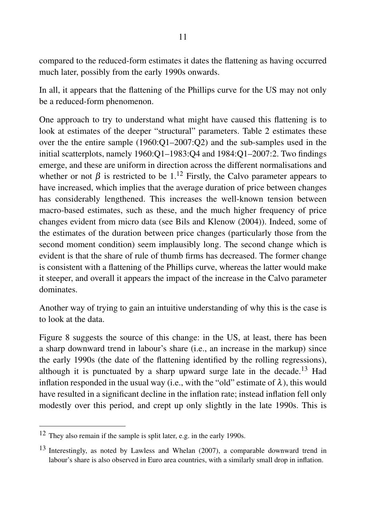compared to the reduced-form estimates it dates the flattening as having occurred much later, possibly from the early 1990s onwards.

In all, it appears that the flattening of the Phillips curve for the US may not only be a reduced-form phenomenon.

One approach to try to understand what might have caused this flattening is to look at estimates of the deeper "structural" parameters. Table 2 estimates these over the the entire sample (1960:Q1–2007:Q2) and the sub-samples used in the initial scatterplots, namely 1960:Q1–1983:Q4 and 1984:Q1–2007:2. Two findings emerge, and these are uniform in direction across the different normalisations and whether or not  $\beta$  is restricted to be 1.<sup>12</sup> Firstly, the Calvo parameter appears to have increased, which implies that the average duration of price between changes has considerably lengthened. This increases the well-known tension between macro-based estimates, such as these, and the much higher frequency of price changes evident from micro data (see Bils and Klenow (2004)). Indeed, some of the estimates of the duration between price changes (particularly those from the second moment condition) seem implausibly long. The second change which is evident is that the share of rule of thumb firms has decreased. The former change is consistent with a flattening of the Phillips curve, whereas the latter would make it steeper, and overall it appears the impact of the increase in the Calvo parameter dominates.

Another way of trying to gain an intuitive understanding of why this is the case is to look at the data.

Figure 8 suggests the source of this change: in the US, at least, there has been a sharp downward trend in labour's share (i.e., an increase in the markup) since the early 1990s (the date of the flattening identified by the rolling regressions), although it is punctuated by a sharp upward surge late in the decade.<sup>13</sup> Had inflation responded in the usual way (i.e., with the "old" estimate of  $\lambda$ ), this would have resulted in a significant decline in the inflation rate; instead inflation fell only modestly over this period, and crept up only slightly in the late 1990s. This is

<sup>12</sup> They also remain if the sample is split later, e.g. in the early 1990s.

<sup>13</sup> Interestingly, as noted by Lawless and Whelan (2007), a comparable downward trend in labour's share is also observed in Euro area countries, with a similarly small drop in inflation.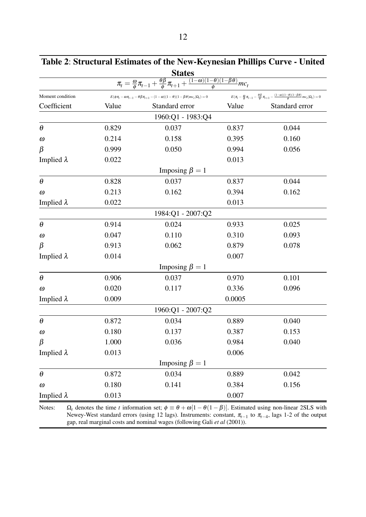| <b>States</b> |                      |                                                                                                                                                           |                                                                                                                                                                                          |  |  |  |  |
|---------------|----------------------|-----------------------------------------------------------------------------------------------------------------------------------------------------------|------------------------------------------------------------------------------------------------------------------------------------------------------------------------------------------|--|--|--|--|
|               |                      |                                                                                                                                                           |                                                                                                                                                                                          |  |  |  |  |
|               |                      |                                                                                                                                                           | $E\big(\pi_{\!t} - \tfrac{\omega}{\phi} \, \pi_{\!t-1} - \tfrac{\theta \beta}{\phi} \, \pi_{\!t+1} - \tfrac{(1-\omega)(1-\theta)(1-\beta\theta)}{\phi} \, m c_t \big  \Omega_t\big) = 0$ |  |  |  |  |
| Value         | Standard error       | Value                                                                                                                                                     | Standard error                                                                                                                                                                           |  |  |  |  |
|               | 1960:Q1 - 1983:Q4    |                                                                                                                                                           |                                                                                                                                                                                          |  |  |  |  |
| 0.829         | 0.037                | 0.837                                                                                                                                                     | 0.044                                                                                                                                                                                    |  |  |  |  |
| 0.214         | 0.158                | 0.395                                                                                                                                                     | 0.160                                                                                                                                                                                    |  |  |  |  |
| 0.999         | 0.050                | 0.994                                                                                                                                                     | 0.056                                                                                                                                                                                    |  |  |  |  |
| 0.022         |                      |                                                                                                                                                           | 0.013                                                                                                                                                                                    |  |  |  |  |
|               | Imposing $\beta = 1$ |                                                                                                                                                           |                                                                                                                                                                                          |  |  |  |  |
| 0.828         | 0.037                | 0.837                                                                                                                                                     | 0.044                                                                                                                                                                                    |  |  |  |  |
| 0.213         | 0.162                | 0.394                                                                                                                                                     | 0.162                                                                                                                                                                                    |  |  |  |  |
| 0.022         |                      | 0.013                                                                                                                                                     |                                                                                                                                                                                          |  |  |  |  |
|               | 1984:Q1 - 2007:Q2    |                                                                                                                                                           |                                                                                                                                                                                          |  |  |  |  |
| 0.914         | 0.024                | 0.933                                                                                                                                                     | 0.025                                                                                                                                                                                    |  |  |  |  |
| 0.047         | 0.110                | 0.310                                                                                                                                                     | 0.093                                                                                                                                                                                    |  |  |  |  |
| 0.913         | 0.062                | 0.879                                                                                                                                                     | 0.078                                                                                                                                                                                    |  |  |  |  |
| 0.014         |                      | 0.007                                                                                                                                                     |                                                                                                                                                                                          |  |  |  |  |
|               | Imposing $\beta = 1$ |                                                                                                                                                           |                                                                                                                                                                                          |  |  |  |  |
| 0.906         | 0.037                | 0.970                                                                                                                                                     | 0.101                                                                                                                                                                                    |  |  |  |  |
| 0.020         | 0.117                | 0.336                                                                                                                                                     | 0.096                                                                                                                                                                                    |  |  |  |  |
| 0.009         |                      | 0.0005                                                                                                                                                    |                                                                                                                                                                                          |  |  |  |  |
|               | 1960:Q1 - 2007:Q2    |                                                                                                                                                           |                                                                                                                                                                                          |  |  |  |  |
| 0.872         | 0.034                | 0.889                                                                                                                                                     | 0.040                                                                                                                                                                                    |  |  |  |  |
| 0.180         | 0.137                | 0.387                                                                                                                                                     | 0.153                                                                                                                                                                                    |  |  |  |  |
| 1.000         | 0.036                | 0.984                                                                                                                                                     | 0.040                                                                                                                                                                                    |  |  |  |  |
| 0.013         |                      | 0.006                                                                                                                                                     |                                                                                                                                                                                          |  |  |  |  |
|               | Imposing $\beta = 1$ |                                                                                                                                                           |                                                                                                                                                                                          |  |  |  |  |
| 0.872         | 0.034                | 0.889                                                                                                                                                     | 0.042                                                                                                                                                                                    |  |  |  |  |
| 0.180         | 0.141                | 0.384                                                                                                                                                     | 0.156                                                                                                                                                                                    |  |  |  |  |
| 0.013         |                      | 0.007                                                                                                                                                     |                                                                                                                                                                                          |  |  |  |  |
|               |                      | $E(\phi\pi_{\textit{t}}-\omega\pi_{\textit{t}-1}-\theta\beta\pi_{\textit{t}+1}-(1-\omega)(1-\theta)(1-\beta\theta)mc_{\textit{t}} \Omega_{\textit{t}})=0$ | $\pi_t = \frac{\omega}{\phi} \pi_{t-1} + \frac{\theta \beta}{\phi} \pi_{t+1} + \frac{(1-\omega)(1-\theta)(1-\beta\theta)}{\phi} mc_t$                                                    |  |  |  |  |

Table 2: Structural Estimates of the New-Keynesian Phillips Curve - United

Notes:  $\Omega_t$  denotes the time *t* information set;  $\phi \equiv \theta + \omega[1 - \theta(1 - \beta)]$ . Estimated using non-linear 2SLS with Newey-West standard errors (using 12 lags). Instruments: constant, π<sub>*t*−1</sub> to π<sub>*t*−4</sub>, lags 1-2 of the output gap, real marginal costs and nominal wages (following Gali *et al* (2001)).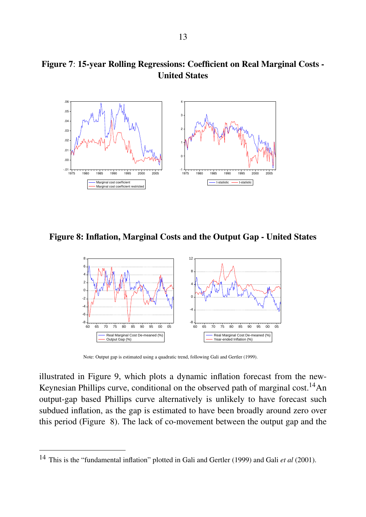#### Figure 7: 15-year Rolling Regressions: Coefficient on Real Marginal Costs - United States



Figure 8: Inflation, Marginal Costs and the Output Gap - United States



Note: Output gap is estimated using a quadratic trend, following Gali and Gertler (1999).

illustrated in Figure 9, which plots a dynamic inflation forecast from the new-Keynesian Phillips curve, conditional on the observed path of marginal cost.<sup>14</sup>An output-gap based Phillips curve alternatively is unlikely to have forecast such subdued inflation, as the gap is estimated to have been broadly around zero over this period (Figure 8). The lack of co-movement between the output gap and the

<sup>14</sup> This is the "fundamental inflation" plotted in Gali and Gertler (1999) and Gali *et al* (2001).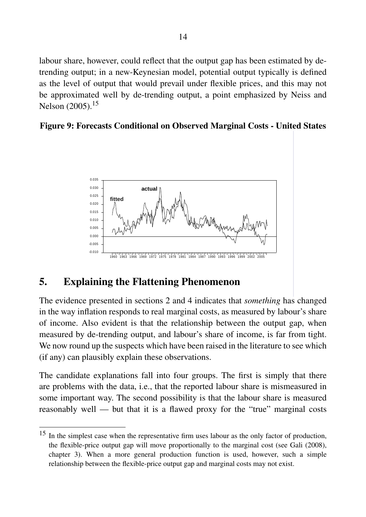labour share, however, could reflect that the output gap has been estimated by detrending output; in a new-Keynesian model, potential output typically is defined as the level of output that would prevail under flexible prices, and this may not be approximated well by de-trending output, a point emphasized by Neiss and Nelson (2005).<sup>15</sup>

#### Figure 9: Forecasts Conditional on Observed Marginal Costs - United States



## 5. Explaining the Flattening Phenomenon

The evidence presented in sections 2 and 4 indicates that *something* has changed in the way inflation responds to real marginal costs, as measured by labour's share of income. Also evident is that the relationship between the output gap, when measured by de-trending output, and labour's share of income, is far from tight. We now round up the suspects which have been raised in the literature to see which (if any) can plausibly explain these observations.

The candidate explanations fall into four groups. The first is simply that there are problems with the data, i.e., that the reported labour share is mismeasured in some important way. The second possibility is that the labour share is measured reasonably well — but that it is a flawed proxy for the "true" marginal costs

<sup>&</sup>lt;sup>15</sup> In the simplest case when the representative firm uses labour as the only factor of production, the flexible-price output gap will move proportionally to the marginal cost (see Gali (2008), chapter 3). When a more general production function is used, however, such a simple relationship between the flexible-price output gap and marginal costs may not exist.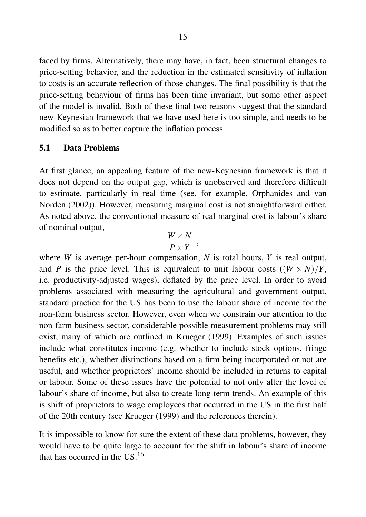faced by firms. Alternatively, there may have, in fact, been structural changes to price-setting behavior, and the reduction in the estimated sensitivity of inflation to costs is an accurate reflection of those changes. The final possibility is that the price-setting behaviour of firms has been time invariant, but some other aspect of the model is invalid. Both of these final two reasons suggest that the standard new-Keynesian framework that we have used here is too simple, and needs to be modified so as to better capture the inflation process.

#### 5.1 Data Problems

At first glance, an appealing feature of the new-Keynesian framework is that it does not depend on the output gap, which is unobserved and therefore difficult to estimate, particularly in real time (see, for example, Orphanides and van Norden (2002)). However, measuring marginal cost is not straightforward either. As noted above, the conventional measure of real marginal cost is labour's share of nominal output,

$$
\frac{W \times N}{P \times Y} ,
$$

where *W* is average per-hour compensation, *N* is total hours, *Y* is real output, and *P* is the price level. This is equivalent to unit labour costs  $((W \times N)/Y)$ , i.e. productivity-adjusted wages), deflated by the price level. In order to avoid problems associated with measuring the agricultural and government output, standard practice for the US has been to use the labour share of income for the non-farm business sector. However, even when we constrain our attention to the non-farm business sector, considerable possible measurement problems may still exist, many of which are outlined in Krueger (1999). Examples of such issues include what constitutes income (e.g. whether to include stock options, fringe benefits etc.), whether distinctions based on a firm being incorporated or not are useful, and whether proprietors' income should be included in returns to capital or labour. Some of these issues have the potential to not only alter the level of labour's share of income, but also to create long-term trends. An example of this is shift of proprietors to wage employees that occurred in the US in the first half of the 20th century (see Krueger (1999) and the references therein).

It is impossible to know for sure the extent of these data problems, however, they would have to be quite large to account for the shift in labour's share of income that has occurred in the US.<sup>16</sup>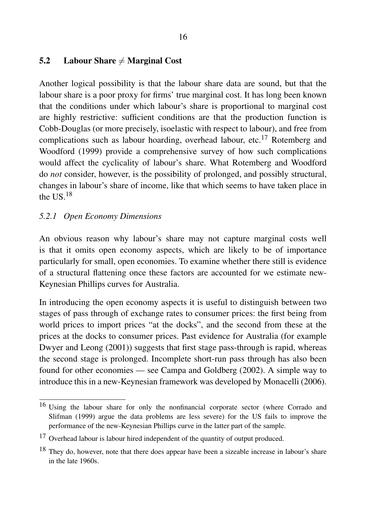#### 5.2 Labour Share  $\neq$  Marginal Cost

Another logical possibility is that the labour share data are sound, but that the labour share is a poor proxy for firms' true marginal cost. It has long been known that the conditions under which labour's share is proportional to marginal cost are highly restrictive: sufficient conditions are that the production function is Cobb-Douglas (or more precisely, isoelastic with respect to labour), and free from complications such as labour hoarding, overhead labour, etc.<sup>17</sup> Rotemberg and Woodford (1999) provide a comprehensive survey of how such complications would affect the cyclicality of labour's share. What Rotemberg and Woodford do *not* consider, however, is the possibility of prolonged, and possibly structural, changes in labour's share of income, like that which seems to have taken place in the  $US<sup>18</sup>$ 

#### *5.2.1 Open Economy Dimensions*

An obvious reason why labour's share may not capture marginal costs well is that it omits open economy aspects, which are likely to be of importance particularly for small, open economies. To examine whether there still is evidence of a structural flattening once these factors are accounted for we estimate new-Keynesian Phillips curves for Australia.

In introducing the open economy aspects it is useful to distinguish between two stages of pass through of exchange rates to consumer prices: the first being from world prices to import prices "at the docks", and the second from these at the prices at the docks to consumer prices. Past evidence for Australia (for example Dwyer and Leong (2001)) suggests that first stage pass-through is rapid, whereas the second stage is prolonged. Incomplete short-run pass through has also been found for other economies — see Campa and Goldberg (2002). A simple way to introduce this in a new-Keynesian framework was developed by Monacelli (2006).

<sup>&</sup>lt;sup>16</sup> Using the labour share for only the nonfinancial corporate sector (where Corrado and Slifman (1999) argue the data problems are less severe) for the US fails to improve the performance of the new-Keynesian Phillips curve in the latter part of the sample.

<sup>17</sup> Overhead labour is labour hired independent of the quantity of output produced.

<sup>&</sup>lt;sup>18</sup> They do, however, note that there does appear have been a sizeable increase in labour's share in the late 1960s.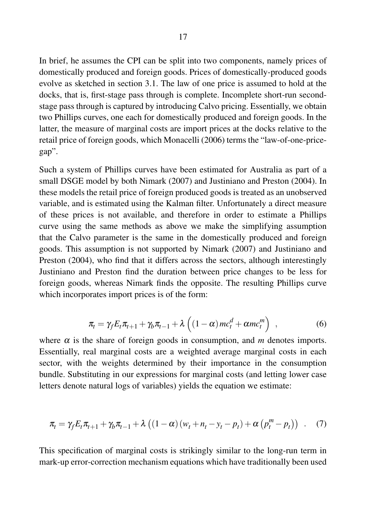In brief, he assumes the CPI can be split into two components, namely prices of domestically produced and foreign goods. Prices of domestically-produced goods evolve as sketched in section 3.1. The law of one price is assumed to hold at the docks, that is, first-stage pass through is complete. Incomplete short-run secondstage pass through is captured by introducing Calvo pricing. Essentially, we obtain two Phillips curves, one each for domestically produced and foreign goods. In the latter, the measure of marginal costs are import prices at the docks relative to the retail price of foreign goods, which Monacelli (2006) terms the "law-of-one-pricegap".

Such a system of Phillips curves have been estimated for Australia as part of a small DSGE model by both Nimark (2007) and Justiniano and Preston (2004). In these models the retail price of foreign produced goods is treated as an unobserved variable, and is estimated using the Kalman filter. Unfortunately a direct measure of these prices is not available, and therefore in order to estimate a Phillips curve using the same methods as above we make the simplifying assumption that the Calvo parameter is the same in the domestically produced and foreign goods. This assumption is not supported by Nimark (2007) and Justiniano and Preston (2004), who find that it differs across the sectors, although interestingly Justiniano and Preston find the duration between price changes to be less for foreign goods, whereas Nimark finds the opposite. The resulting Phillips curve which incorporates import prices is of the form:

$$
\pi_t = \gamma_f E_t \pi_{t+1} + \gamma_b \pi_{t-1} + \lambda \left( (1 - \alpha) m c_t^d + \alpha m c_t^m \right) , \qquad (6)
$$

where  $\alpha$  is the share of foreign goods in consumption, and *m* denotes imports. Essentially, real marginal costs are a weighted average marginal costs in each sector, with the weights determined by their importance in the consumption bundle. Substituting in our expressions for marginal costs (and letting lower case letters denote natural logs of variables) yields the equation we estimate:

$$
\pi_t = \gamma_f E_t \pi_{t+1} + \gamma_b \pi_{t-1} + \lambda \left( (1 - \alpha) (w_t + n_t - y_t - p_t) + \alpha \left( p_t^m - p_t \right) \right) \quad . \tag{7}
$$

This specification of marginal costs is strikingly similar to the long-run term in mark-up error-correction mechanism equations which have traditionally been used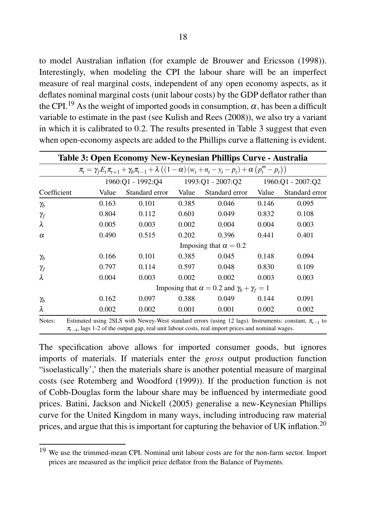to model Australian inflation (for example de Brouwer and Ericsson (1998)). Interestingly, when modeling the CPI the labour share will be an imperfect measure of real marginal costs, independent of any open economy aspects, as it deflates nominal marginal costs (unit labour costs) by the GDP deflator rather than the CPI.<sup>19</sup> As the weight of imported goods in consumption,  $\alpha$ , has been a difficult variable to estimate in the past (see Kulish and Rees (2008)), we also try a variant in which it is calibrated to 0.2. The results presented in Table 3 suggest that even when open-economy aspects are added to the Phillips curve a flattening is evident.

|             |                                                            |                              |       | Table 3: Open Economy New-Keynesian Phillips Curve - Australia                                                                                                                                                         |                   |                |  |  |
|-------------|------------------------------------------------------------|------------------------------|-------|------------------------------------------------------------------------------------------------------------------------------------------------------------------------------------------------------------------------|-------------------|----------------|--|--|
|             |                                                            |                              |       | $\pi_t = \gamma_f E_t \pi_{t+1} + \gamma_b \pi_{t-1} + \lambda \left( (1-\alpha) (w_t + n_t - y_t - p_t) + \alpha (p_t^m - p_t) \right)$                                                                               |                   |                |  |  |
|             | 1960:Q1 - 1992:Q4 1993:Q1 - 2007:Q2                        |                              |       |                                                                                                                                                                                                                        | 1960:Q1 - 2007:Q2 |                |  |  |
| Coefficient | Value                                                      | Standard error               | Value | Standard error                                                                                                                                                                                                         | Value             | Standard error |  |  |
| $\gamma_b$  | 0.163                                                      | 0.101                        | 0.385 | 0.046                                                                                                                                                                                                                  | 0.146             | 0.095          |  |  |
| $\gamma_f$  | 0.804                                                      | 0.112                        | 0.601 | 0.049                                                                                                                                                                                                                  | 0.832             | 0.108          |  |  |
| $\lambda$   | 0.005                                                      | 0.003                        | 0.002 | 0.004                                                                                                                                                                                                                  | 0.004             | 0.003          |  |  |
| $\alpha$    | 0.490                                                      | 0.515                        | 0.202 | 0.396                                                                                                                                                                                                                  | 0.441             | 0.401          |  |  |
|             |                                                            | Imposing that $\alpha = 0.2$ |       |                                                                                                                                                                                                                        |                   |                |  |  |
| $\gamma_b$  | 0.166                                                      | 0.101                        | 0.385 | 0.045                                                                                                                                                                                                                  | 0.148             | 0.094          |  |  |
| $\gamma_f$  | 0.797                                                      | 0.114                        | 0.597 | 0.048                                                                                                                                                                                                                  | 0.830             | 0.109          |  |  |
| $\lambda$   | 0.004                                                      | 0.003                        | 0.002 | 0.002                                                                                                                                                                                                                  | 0.003             | 0.003          |  |  |
|             | Imposing that $\alpha = 0.2$ and $\gamma_b + \gamma_f = 1$ |                              |       |                                                                                                                                                                                                                        |                   |                |  |  |
| $\gamma_b$  | 0.162                                                      | 0.097                        | 0.388 | 0.049                                                                                                                                                                                                                  | 0.144             | 0.091          |  |  |
| $\lambda$   | 0.002                                                      | 0.002                        | 0.001 | 0.001                                                                                                                                                                                                                  | 0.002             | 0.002          |  |  |
| Notes:      |                                                            |                              |       | Estimated using 2SLS with Newey-West standard errors (using 12 lags). Instruments: constant, $\pi_{t-1}$ to<br>$\pi_{t-4}$ , lags 1-2 of the output gap, real unit labour costs, real import prices and nominal wages. |                   |                |  |  |

The specification above allows for imported consumer goods, but ignores imports of materials. If materials enter the *gross* output production function "isoelastically',' then the materials share is another potential measure of marginal costs (see Rotemberg and Woodford (1999)). If the production function is not of Cobb-Douglas form the labour share may be influenced by intermediate good prices. Batini, Jackson and Nickell (2005) generalise a new-Keynesian Phillips curve for the United Kingdom in many ways, including introducing raw material prices, and argue that this is important for capturing the behavior of UK inflation.<sup>20</sup>

<sup>&</sup>lt;sup>19</sup> We use the trimmed-mean CPI. Nominal unit labour costs are for the non-farm sector. Import prices are measured as the implicit price deflator from the Balance of Payments.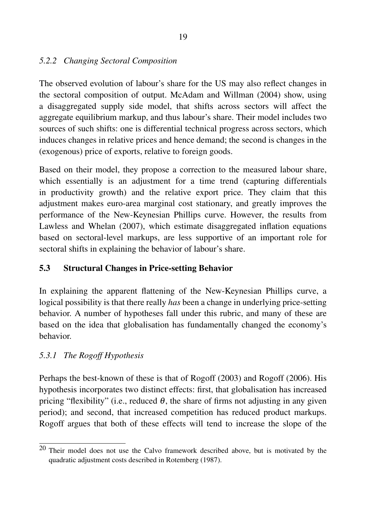### *5.2.2 Changing Sectoral Composition*

The observed evolution of labour's share for the US may also reflect changes in the sectoral composition of output. McAdam and Willman (2004) show, using a disaggregated supply side model, that shifts across sectors will affect the aggregate equilibrium markup, and thus labour's share. Their model includes two sources of such shifts: one is differential technical progress across sectors, which induces changes in relative prices and hence demand; the second is changes in the (exogenous) price of exports, relative to foreign goods.

Based on their model, they propose a correction to the measured labour share, which essentially is an adjustment for a time trend (capturing differentials in productivity growth) and the relative export price. They claim that this adjustment makes euro-area marginal cost stationary, and greatly improves the performance of the New-Keynesian Phillips curve. However, the results from Lawless and Whelan (2007), which estimate disaggregated inflation equations based on sectoral-level markups, are less supportive of an important role for sectoral shifts in explaining the behavior of labour's share.

## 5.3 Structural Changes in Price-setting Behavior

In explaining the apparent flattening of the New-Keynesian Phillips curve, a logical possibility is that there really *has* been a change in underlying price-setting behavior. A number of hypotheses fall under this rubric, and many of these are based on the idea that globalisation has fundamentally changed the economy's behavior.

## *5.3.1 The Rogoff Hypothesis*

Perhaps the best-known of these is that of Rogoff (2003) and Rogoff (2006). His hypothesis incorporates two distinct effects: first, that globalisation has increased pricing "flexibility" (i.e., reduced  $\theta$ , the share of firms not adjusting in any given period); and second, that increased competition has reduced product markups. Rogoff argues that both of these effects will tend to increase the slope of the

 $20$  Their model does not use the Calvo framework described above, but is motivated by the quadratic adjustment costs described in Rotemberg (1987).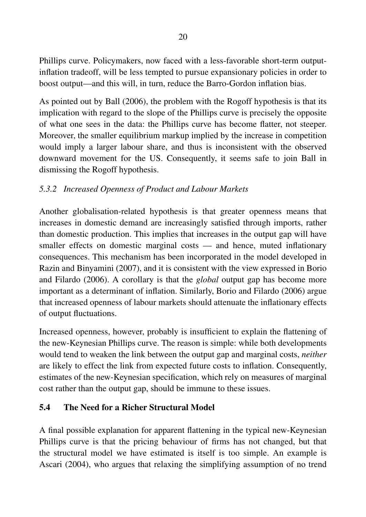Phillips curve. Policymakers, now faced with a less-favorable short-term outputinflation tradeoff, will be less tempted to pursue expansionary policies in order to boost output—and this will, in turn, reduce the Barro-Gordon inflation bias.

As pointed out by Ball (2006), the problem with the Rogoff hypothesis is that its implication with regard to the slope of the Phillips curve is precisely the opposite of what one sees in the data: the Phillips curve has become flatter, not steeper. Moreover, the smaller equilibrium markup implied by the increase in competition would imply a larger labour share, and thus is inconsistent with the observed downward movement for the US. Consequently, it seems safe to join Ball in dismissing the Rogoff hypothesis.

### *5.3.2 Increased Openness of Product and Labour Markets*

Another globalisation-related hypothesis is that greater openness means that increases in domestic demand are increasingly satisfied through imports, rather than domestic production. This implies that increases in the output gap will have smaller effects on domestic marginal costs — and hence, muted inflationary consequences. This mechanism has been incorporated in the model developed in Razin and Binyamini (2007), and it is consistent with the view expressed in Borio and Filardo (2006). A corollary is that the *global* output gap has become more important as a determinant of inflation. Similarly, Borio and Filardo (2006) argue that increased openness of labour markets should attenuate the inflationary effects of output fluctuations.

Increased openness, however, probably is insufficient to explain the flattening of the new-Keynesian Phillips curve. The reason is simple: while both developments would tend to weaken the link between the output gap and marginal costs, *neither* are likely to effect the link from expected future costs to inflation. Consequently, estimates of the new-Keynesian specification, which rely on measures of marginal cost rather than the output gap, should be immune to these issues.

#### 5.4 The Need for a Richer Structural Model

A final possible explanation for apparent flattening in the typical new-Keynesian Phillips curve is that the pricing behaviour of firms has not changed, but that the structural model we have estimated is itself is too simple. An example is Ascari (2004), who argues that relaxing the simplifying assumption of no trend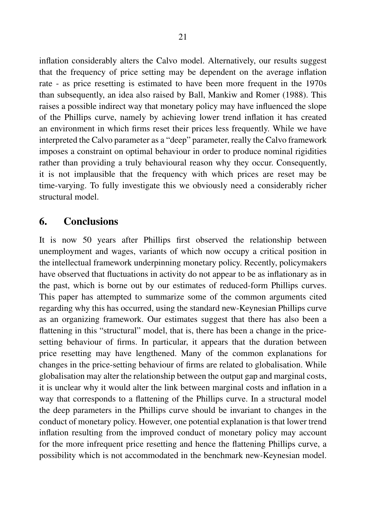inflation considerably alters the Calvo model. Alternatively, our results suggest that the frequency of price setting may be dependent on the average inflation rate - as price resetting is estimated to have been more frequent in the 1970s than subsequently, an idea also raised by Ball, Mankiw and Romer (1988). This raises a possible indirect way that monetary policy may have influenced the slope of the Phillips curve, namely by achieving lower trend inflation it has created an environment in which firms reset their prices less frequently. While we have interpreted the Calvo parameter as a "deep" parameter, really the Calvo framework imposes a constraint on optimal behaviour in order to produce nominal rigidities rather than providing a truly behavioural reason why they occur. Consequently, it is not implausible that the frequency with which prices are reset may be time-varying. To fully investigate this we obviously need a considerably richer structural model.

## 6. Conclusions

It is now 50 years after Phillips first observed the relationship between unemployment and wages, variants of which now occupy a critical position in the intellectual framework underpinning monetary policy. Recently, policymakers have observed that fluctuations in activity do not appear to be as inflationary as in the past, which is borne out by our estimates of reduced-form Phillips curves. This paper has attempted to summarize some of the common arguments cited regarding why this has occurred, using the standard new-Keynesian Phillips curve as an organizing framework. Our estimates suggest that there has also been a flattening in this "structural" model, that is, there has been a change in the pricesetting behaviour of firms. In particular, it appears that the duration between price resetting may have lengthened. Many of the common explanations for changes in the price-setting behaviour of firms are related to globalisation. While globalisation may alter the relationship between the output gap and marginal costs, it is unclear why it would alter the link between marginal costs and inflation in a way that corresponds to a flattening of the Phillips curve. In a structural model the deep parameters in the Phillips curve should be invariant to changes in the conduct of monetary policy. However, one potential explanation is that lower trend inflation resulting from the improved conduct of monetary policy may account for the more infrequent price resetting and hence the flattening Phillips curve, a possibility which is not accommodated in the benchmark new-Keynesian model.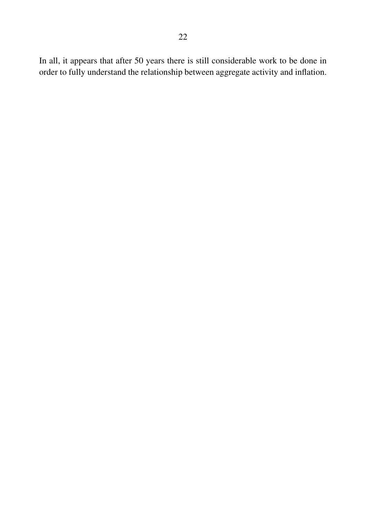In all, it appears that after 50 years there is still considerable work to be done in order to fully understand the relationship between aggregate activity and inflation.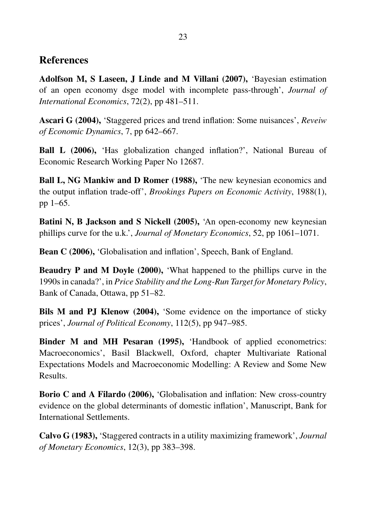## References

Adolfson M, S Laseen, J Linde and M Villani (2007), 'Bayesian estimation of an open economy dsge model with incomplete pass-through', *Journal of International Economics*, 72(2), pp 481–511.

Ascari G (2004), 'Staggered prices and trend inflation: Some nuisances', *Reveiw of Economic Dynamics*, 7, pp 642–667.

Ball L (2006), 'Has globalization changed inflation?', National Bureau of Economic Research Working Paper No 12687.

Ball L, NG Mankiw and D Romer (1988), 'The new keynesian economics and the output inflation trade-off', *Brookings Papers on Economic Activity*, 1988(1), pp 1–65.

Batini N, B Jackson and S Nickell (2005), 'An open-economy new keynesian phillips curve for the u.k.', *Journal of Monetary Economics*, 52, pp 1061–1071.

Bean C (2006), 'Globalisation and inflation', Speech, Bank of England.

Beaudry P and M Doyle (2000), 'What happened to the phillips curve in the 1990s in canada?', in *Price Stability and the Long-Run Target for Monetary Policy*, Bank of Canada, Ottawa, pp 51–82.

Bils M and PJ Klenow (2004), 'Some evidence on the importance of sticky prices', *Journal of Political Economy*, 112(5), pp 947–985.

Binder M and MH Pesaran (1995), 'Handbook of applied econometrics: Macroeconomics', Basil Blackwell, Oxford, chapter Multivariate Rational Expectations Models and Macroeconomic Modelling: A Review and Some New Results.

Borio C and A Filardo (2006), 'Globalisation and inflation: New cross-country evidence on the global determinants of domestic inflation', Manuscript, Bank for International Settlements.

Calvo G (1983), 'Staggered contracts in a utility maximizing framework', *Journal of Monetary Economics*, 12(3), pp 383–398.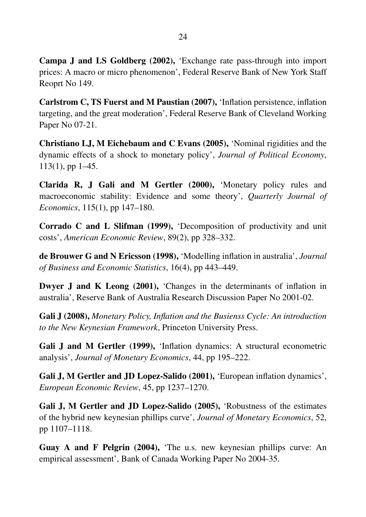Campa J and LS Goldberg (2002), 'Exchange rate pass-through into import prices: A macro or micro phenomenon', Federal Reserve Bank of New York Staff Reoprt No 149.

Carlstrom C, TS Fuerst and M Paustian (2007), 'Inflation persistence, inflation targeting, and the great moderation', Federal Reserve Bank of Cleveland Working Paper No 07-21.

Christiano LJ, M Eichebaum and C Evans (2005), 'Nominal rigidities and the dynamic effects of a shock to monetary policy', *Journal of Political Economy*, 113(1), pp 1–45.

Clarida R, J Gali and M Gertler (2000), 'Monetary policy rules and macroeconomic stability: Evidence and some theory', *Quarterly Journal of Economics*, 115(1), pp 147–180.

Corrado C and L Slifman (1999), 'Decomposition of productivity and unit costs', *American Economic Review*, 89(2), pp 328–332.

de Brouwer G and N Ericsson (1998), 'Modelling inflation in australia', *Journal of Business and Economic Statistics*, 16(4), pp 443–449.

Dwyer J and K Leong (2001), 'Changes in the determinants of inflation in australia', Reserve Bank of Australia Research Discussion Paper No 2001-02.

Gali J (2008), *Monetary Policy, Inflation and the Busienss Cycle: An introduction to the New Keynesian Framework*, Princeton University Press.

Gali J and M Gertler (1999), 'Inflation dynamics: A structural econometric analysis', *Journal of Monetary Economics*, 44, pp 195–222.

Gali J, M Gertler and JD Lopez-Salido (2001), 'European inflation dynamics', *European Economic Review*, 45, pp 1237–1270.

Gali J, M Gertler and JD Lopez-Salido (2005), 'Robustness of the estimates of the hybrid new keynesian phillips curve', *Journal of Monetary Economics*, 52, pp 1107–1118.

Guay A and F Pelgrin (2004), 'The u.s. new keynesian phillips curve: An empirical assessment', Bank of Canada Working Paper No 2004-35.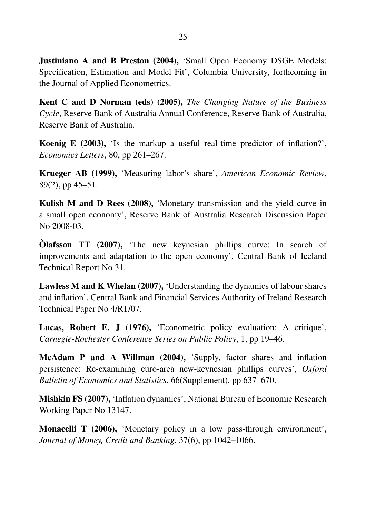Justiniano A and B Preston (2004), 'Small Open Economy DSGE Models: Specification, Estimation and Model Fit', Columbia University, forthcoming in the Journal of Applied Econometrics.

Kent C and D Norman (eds) (2005), *The Changing Nature of the Business Cycle*, Reserve Bank of Australia Annual Conference, Reserve Bank of Australia, Reserve Bank of Australia.

Koenig E (2003), 'Is the markup a useful real-time predictor of inflation?', *Economics Letters*, 80, pp 261–267.

Krueger AB (1999), 'Measuring labor's share', *American Economic Review*, 89(2), pp 45–51.

Kulish M and D Rees (2008), 'Monetary transmission and the yield curve in a small open economy', Reserve Bank of Australia Research Discussion Paper No 2008-03.

**Olafsson TT** (2007), 'The new keynesian phillips curve: In search of improvements and adaptation to the open economy', Central Bank of Iceland Technical Report No 31.

Lawless M and K Whelan (2007), 'Understanding the dynamics of labour shares and inflation', Central Bank and Financial Services Authority of Ireland Research Technical Paper No 4/RT/07.

Lucas, Robert E. J (1976), 'Econometric policy evaluation: A critique', *Carnegie-Rochester Conference Series on Public Policy*, 1, pp 19–46.

McAdam P and A Willman (2004), 'Supply, factor shares and inflation persistence: Re-examining euro-area new-keynesian phillips curves', *Oxford Bulletin of Economics and Statistics*, 66(Supplement), pp 637–670.

Mishkin FS (2007), 'Inflation dynamics', National Bureau of Economic Research Working Paper No 13147.

Monacelli T (2006), 'Monetary policy in a low pass-through environment', *Journal of Money, Credit and Banking*, 37(6), pp 1042–1066.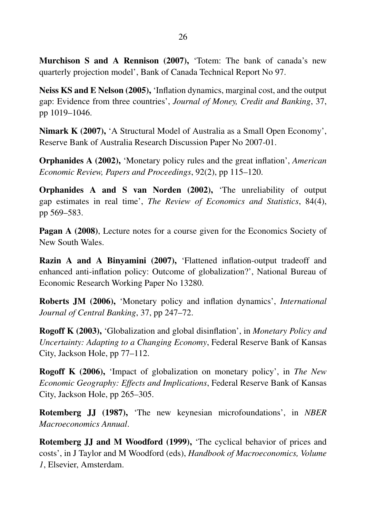Murchison S and A Rennison (2007), 'Totem: The bank of canada's new quarterly projection model', Bank of Canada Technical Report No 97.

Neiss KS and E Nelson (2005), 'Inflation dynamics, marginal cost, and the output gap: Evidence from three countries', *Journal of Money, Credit and Banking*, 37, pp 1019–1046.

Nimark K (2007), 'A Structural Model of Australia as a Small Open Economy', Reserve Bank of Australia Research Discussion Paper No 2007-01.

Orphanides A (2002), 'Monetary policy rules and the great inflation', *American Economic Review, Papers and Proceedings*, 92(2), pp 115–120.

Orphanides A and S van Norden (2002), 'The unreliability of output gap estimates in real time', *The Review of Economics and Statistics*, 84(4), pp 569–583.

Pagan A (2008), Lecture notes for a course given for the Economics Society of New South Wales.

Razin A and A Binyamini (2007), 'Flattened inflation-output tradeoff and enhanced anti-inflation policy: Outcome of globalization?', National Bureau of Economic Research Working Paper No 13280.

Roberts JM (2006), 'Monetary policy and inflation dynamics', *International Journal of Central Banking*, 37, pp 247–72.

Rogoff K (2003), 'Globalization and global disinflation', in *Monetary Policy and Uncertainty: Adapting to a Changing Economy*, Federal Reserve Bank of Kansas City, Jackson Hole, pp 77–112.

Rogoff K (2006), 'Impact of globalization on monetary policy', in *The New Economic Geography: Effects and Implications*, Federal Reserve Bank of Kansas City, Jackson Hole, pp 265–305.

Rotemberg JJ (1987), 'The new keynesian microfoundations', in *NBER Macroeconomics Annual*.

Rotemberg JJ and M Woodford (1999), 'The cyclical behavior of prices and costs', in J Taylor and M Woodford (eds), *Handbook of Macroeconomics, Volume 1*, Elsevier, Amsterdam.